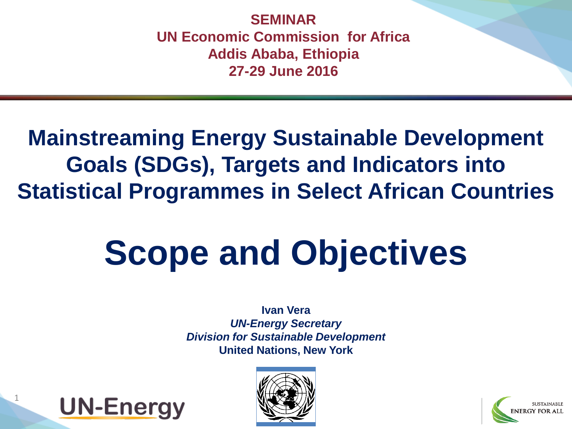**SEMINAR UN Economic Commission for Africa Addis Ababa, Ethiopia 27-29 June 2016**

#### **Mainstreaming Energy Sustainable Development Goals (SDGs), Targets and Indicators into Statistical Programmes in Select African Countries**

## **Scope and Objectives**

**Ivan Vera** *UN-Energy Secretary Division for Sustainable Development* **United Nations, New York**



1



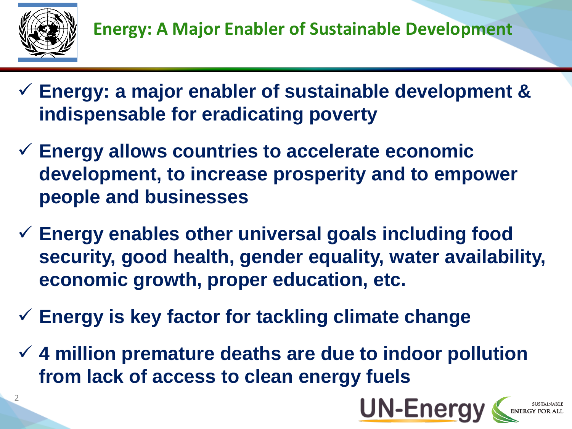

- **Energy: a major enabler of sustainable development & indispensable for eradicating poverty**
- **Energy allows countries to accelerate economic development, to increase prosperity and to empower people and businesses**
- **Energy enables other universal goals including food security, good health, gender equality, water availability, economic growth, proper education, etc.**
- **Energy is key factor for tackling climate change**
- **4 million premature deaths are due to indoor pollution from lack of access to clean energy fuels**

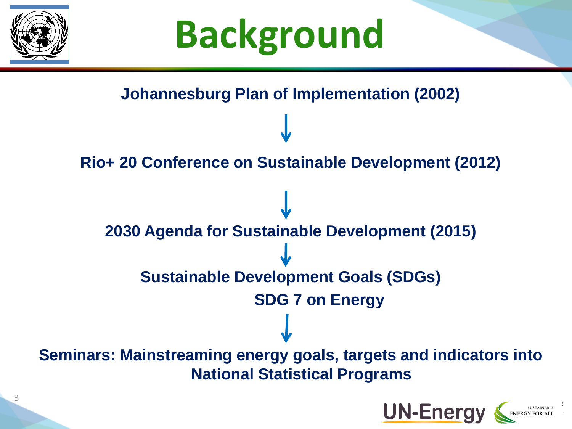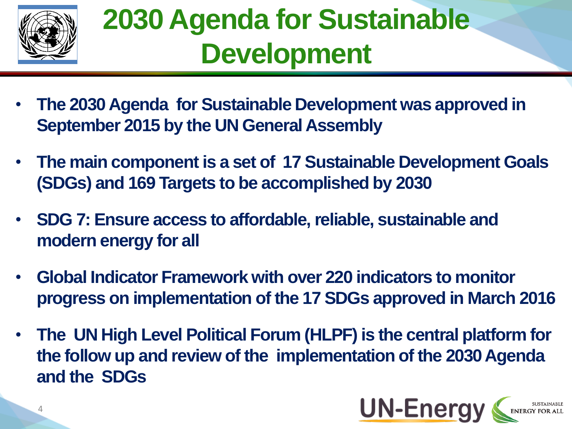

### **2030 Agenda for Sustainable Development**

- **The 2030 Agenda for Sustainable Development was approved in September 2015 by the UN General Assembly**
- **The main component is a set of 17 Sustainable Development Goals (SDGs) and 169 Targets to be accomplished by 2030**
- **SDG 7: Ensure access to affordable, reliable, sustainable and modern energy for all**
- **Global Indicator Framework with over 220 indicators to monitor progress on implementation of the 17 SDGs approved in March 2016**
- **The UN High Level Political Forum (HLPF) is the central platform for the follow up and review of the implementation of the 2030 Agenda and the SDGs**

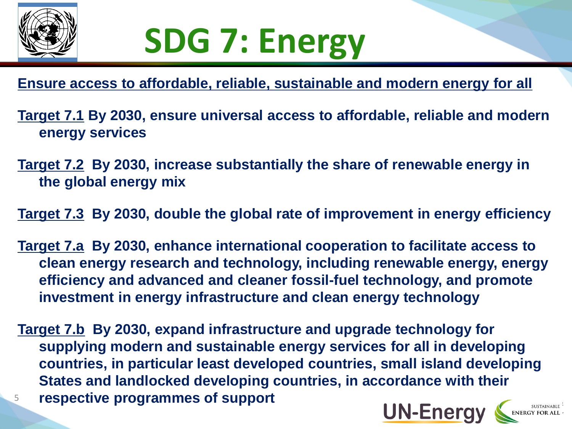

## **SDG 7: Energy**

**Ensure access to affordable, reliable, sustainable and modern energy for all**

**Target 7.1 By 2030, ensure universal access to affordable, reliable and modern energy services**

**Target 7.2 By 2030, increase substantially the share of renewable energy in the global energy mix**

**Target 7.3 By 2030, double the global rate of improvement in energy efficiency** 

**Target 7.a By 2030, enhance international cooperation to facilitate access to clean energy research and technology, including renewable energy, energy efficiency and advanced and cleaner fossil-fuel technology, and promote investment in energy infrastructure and clean energy technology**

**Target 7.b By 2030, expand infrastructure and upgrade technology for supplying modern and sustainable energy services for all in developing countries, in particular least developed countries, small island developing States and landlocked developing countries, in accordance with their**  <sup>5</sup> **respective programmes of support**

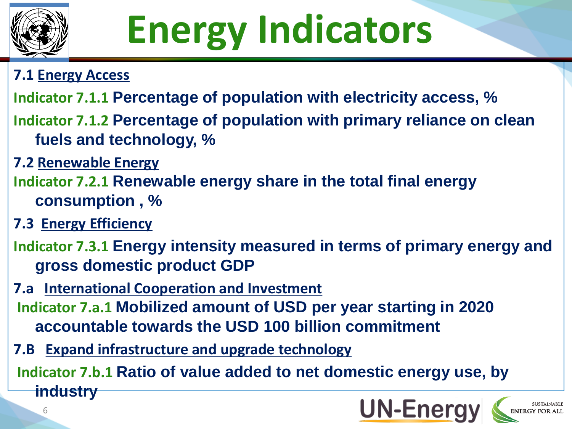

# **Energy Indicators**

#### **7.1 Energy Access**

- **Indicator 7.1.1 Percentage of population with electricity access, %**
- **Indicator 7.1.2 Percentage of population with primary reliance on clean fuels and technology, %**
- **7.2 Renewable Energy**
- **Indicator 7.2.1 Renewable energy share in the total final energy consumption , %**
- **7.3 Energy Efficiency**

6

- **Indicator 7.3.1 Energy intensity measured in terms of primary energy and gross domestic product GDP**
- **7.a International Cooperation and Investment Indicator 7.a.1 Mobilized amount of USD per year starting in 2020 accountable towards the USD 100 billion commitment**
- **7.B Expand infrastructure and upgrade technology**

**Indicator 7.b.1 Ratio of value added to net domestic energy use, by industry**

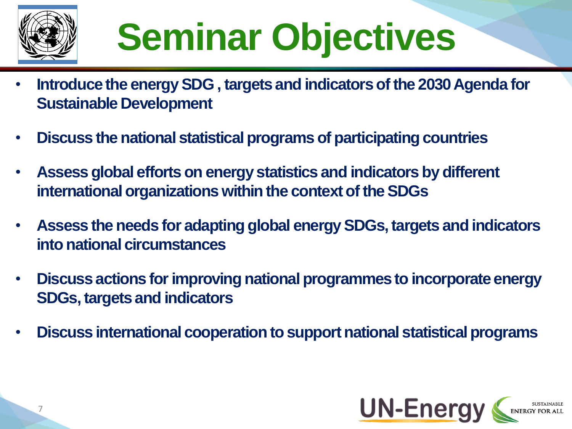

# **Seminar Objectives**

- **Introduce the energy SDG , targets and indicators of the 2030 Agenda for Sustainable Development**
- **Discuss the national statistical programs of participating countries**
- **Assess global efforts on energy statistics and indicators by different international organizations within the context of the SDGs**
- **Assess the needs for adapting global energy SDGs, targets and indicators into national circumstances**
- **Discuss actions for improving national programmes to incorporate energy SDGs, targets and indicators**
- **Discuss international cooperation to support national statistical programs**

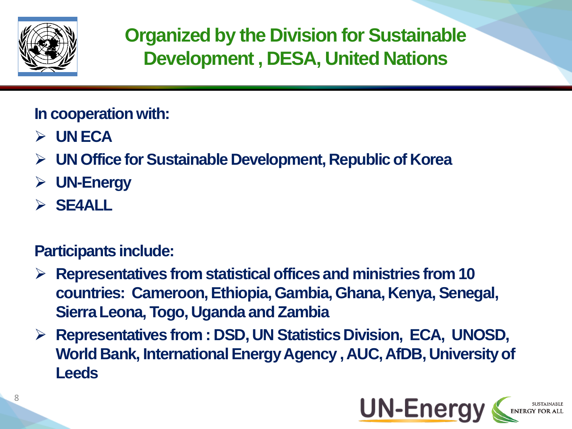

**Organized by the Division for Sustainable Development , DESA, United Nations**

**In cooperation with:**

- **UN ECA**
- **UN Office for Sustainable Development, Republic of Korea**
- **UN-Energy**
- **SE4ALL**

#### **Participants include:**

- **Representatives from statistical offices and ministries from 10 countries: Cameroon, Ethiopia, Gambia, Ghana, Kenya, Senegal, Sierra Leona, Togo, Uganda and Zambia**
- **Representatives from : DSD, UN Statistics Division, ECA, UNOSD, World Bank, International Energy Agency , AUC, AfDB, University of Leeds**

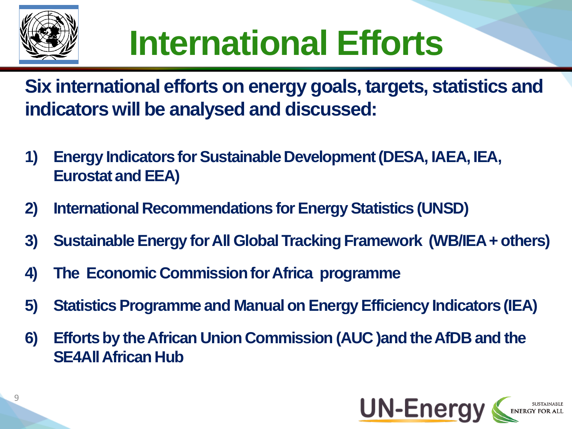

## **International Efforts**

**Six international efforts on energy goals, targets, statistics and indicators will be analysed and discussed:**

- **1) Energy Indicators for Sustainable Development (DESA, IAEA, IEA, Eurostat and EEA)**
- **2) International Recommendations for Energy Statistics (UNSD)**
- **3) Sustainable Energy for All Global Tracking Framework (WB/IEA + others)**
- **4) The Economic Commission for Africa programme**
- **5) Statistics Programme and Manual on Energy Efficiency Indicators (IEA)**
- **6) Efforts by the African Union Commission (AUC )and the AfDB and the SE4All African Hub**

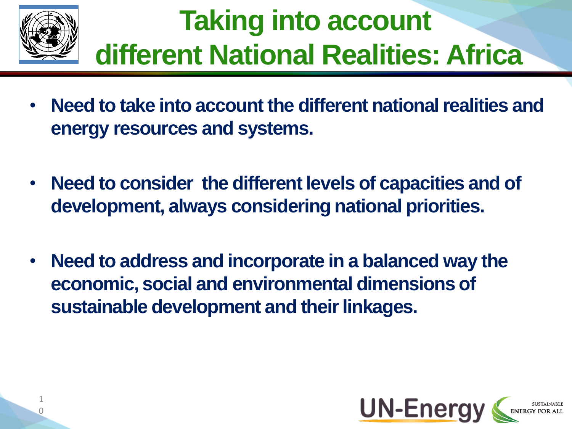

### **Taking into account different National Realities: Africa**

- **Need to take into account the different national realities and energy resources and systems.**
- **Need to consider the different levels of capacities and of development, always considering national priorities.**
- **Need to address and incorporate in a balanced way the economic, social and environmental dimensions of sustainable development and their linkages.**

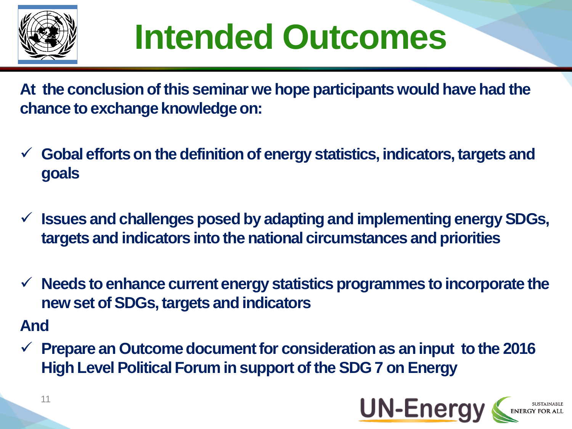

### **Intended Outcomes**

**At the conclusion of this seminar we hope participants would have had the chance to exchange knowledge on:** 

- **Gobal efforts on the definition of energy statistics, indicators, targets and goals**
- **Issues and challenges posed by adapting and implementing energy SDGs, targets and indicators into the national circumstances and priorities**
- **Needs to enhance current energy statistics programmes to incorporate the new set of SDGs, targets and indicators**

#### **And**

 **Prepare an Outcome document for consideration as an input to the 2016 High Level Political Forum in support of the SDG 7 on Energy**